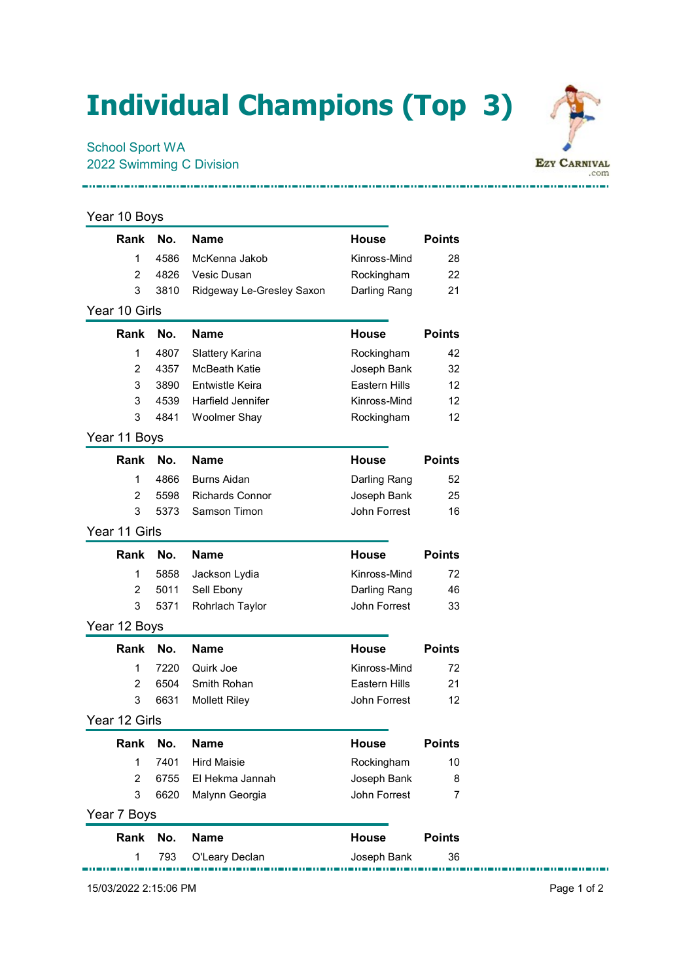## Individual Champions (Top 3)

## School Sport WA 2022 Swimming C Division



| Rank           | No.  | <b>Name</b>               | House                | <b>Points</b> |
|----------------|------|---------------------------|----------------------|---------------|
| 1              | 4586 | McKenna Jakob             | Kinross-Mind         | 28            |
| 2              | 4826 | Vesic Dusan               | Rockingham           | 22            |
| 3              | 3810 | Ridgeway Le-Gresley Saxon | Darling Rang         | 21            |
| Year 10 Girls  |      |                           |                      |               |
| Rank           | No.  | <b>Name</b>               | House                | <b>Points</b> |
| 1              | 4807 | Slattery Karina           | Rockingham           | 42            |
| $\overline{2}$ | 4357 | McBeath Katie             | Joseph Bank          | 32            |
| 3              | 3890 | Entwistle Keira           | Eastern Hills        | 12            |
| 3              | 4539 | Harfield Jennifer         | Kinross-Mind         | 12            |
| 3              | 4841 | <b>Woolmer Shay</b>       | Rockingham           | 12            |
| Year 11 Boys   |      |                           |                      |               |
| Rank           | No.  | <b>Name</b>               | House                | <b>Points</b> |
| 1              | 4866 | <b>Burns Aidan</b>        | Darling Rang         | 52            |
| 2              | 5598 | <b>Richards Connor</b>    | Joseph Bank          | 25            |
| 3              | 5373 | Samson Timon              | John Forrest         | 16            |
| Year 11 Girls  |      |                           |                      |               |
| Rank           | No.  | <b>Name</b>               | <b>House</b>         | <b>Points</b> |
| 1              | 5858 | Jackson Lydia             | Kinross-Mind         | 72            |
| 2              | 5011 | Sell Ebony                | Darling Rang         | 46            |
| 3              | 5371 | Rohrlach Taylor           | John Forrest         | 33            |
| Year 12 Boys   |      |                           |                      |               |
| Rank           | No.  | <b>Name</b>               | <b>House</b>         | <b>Points</b> |
| 1              | 7220 | Quirk Joe                 | Kinross-Mind         | 72            |
| $\overline{2}$ | 6504 | Smith Rohan               | <b>Eastern Hills</b> | 21            |
| 3              | 6631 | <b>Mollett Riley</b>      | John Forrest         | 12            |
| Year 12 Girls  |      |                           |                      |               |
| Rank           | No.  | <b>Name</b>               | <b>House</b>         | <b>Points</b> |
| 1              | 7401 | <b>Hird Maisie</b>        | Rockingham           | 10            |
| $\overline{2}$ | 6755 | El Hekma Jannah           | Joseph Bank          | 8             |
| 3              | 6620 | Malynn Georgia            | John Forrest         | 7             |
| Year 7 Boys    |      |                           |                      |               |
| Rank           | No.  | <b>Name</b>               | <b>House</b>         | <b>Points</b> |
| 1              | 793  | O'Leary Declan            | Joseph Bank          | 36            |